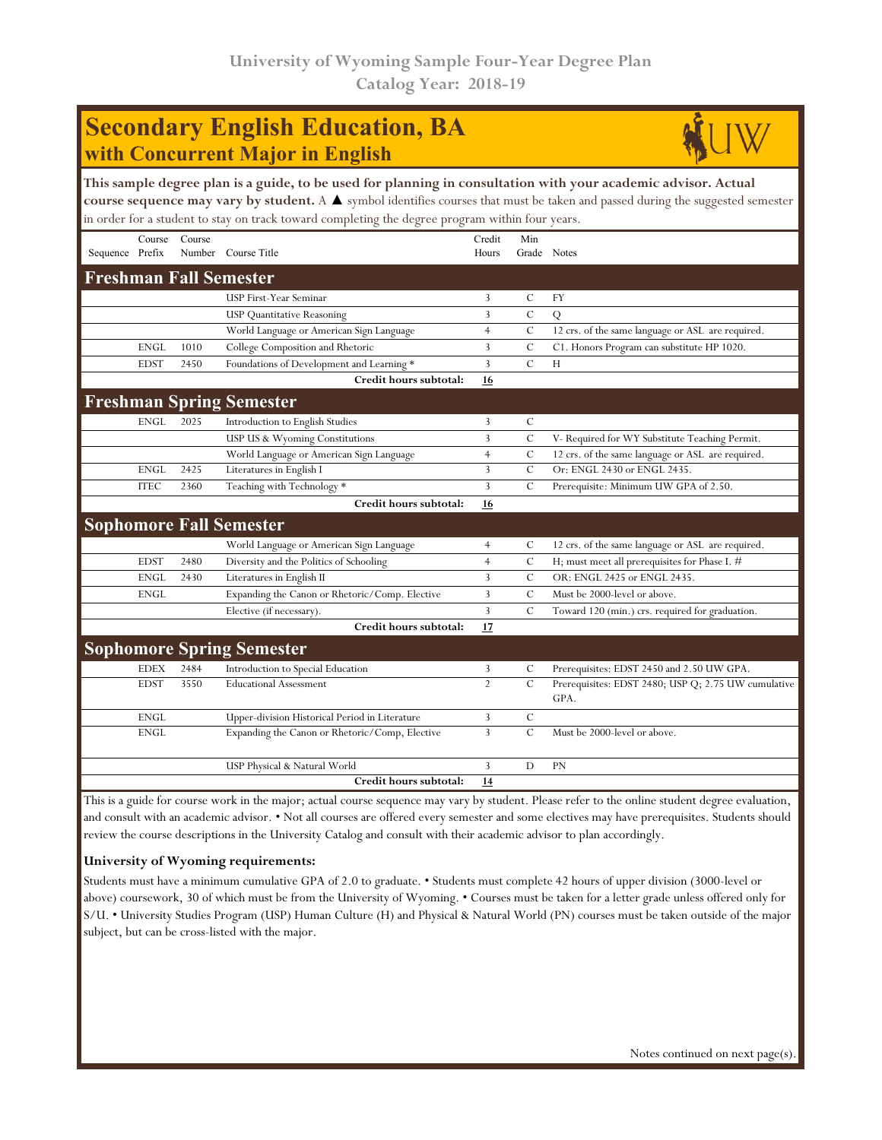## **Secondary English Education, BA with Concurrent Major in English**



| This sample degree plan is a guide, to be used for planning in consultation with your academic advisor. Actual<br>course sequence may vary by student. A $\blacktriangle$ symbol identifies courses that must be taken and passed during the suggested semester<br>in order for a student to stay on track toward completing the degree program within four years. |             |        |                                                |                 |               |                                                   |  |
|--------------------------------------------------------------------------------------------------------------------------------------------------------------------------------------------------------------------------------------------------------------------------------------------------------------------------------------------------------------------|-------------|--------|------------------------------------------------|-----------------|---------------|---------------------------------------------------|--|
| Sequence Prefix                                                                                                                                                                                                                                                                                                                                                    | Course      | Course | Number Course Title                            | Credit<br>Hours | Min           | Grade Notes                                       |  |
|                                                                                                                                                                                                                                                                                                                                                                    |             |        | <b>Freshman Fall Semester</b>                  |                 |               |                                                   |  |
|                                                                                                                                                                                                                                                                                                                                                                    |             |        | <b>USP First-Year Seminar</b>                  | 3               | $\mathcal{C}$ | <b>FY</b>                                         |  |
|                                                                                                                                                                                                                                                                                                                                                                    |             |        | <b>USP Quantitative Reasoning</b>              | 3               | $\mathbf C$   | Q                                                 |  |
|                                                                                                                                                                                                                                                                                                                                                                    |             |        | World Language or American Sign Language       | $\overline{4}$  | $\mathcal{C}$ | 12 crs. of the same language or ASL are required. |  |
|                                                                                                                                                                                                                                                                                                                                                                    | <b>ENGL</b> | 1010   | College Composition and Rhetoric               | 3               | C             | C1. Honors Program can substitute HP 1020.        |  |
|                                                                                                                                                                                                                                                                                                                                                                    | <b>EDST</b> | 2450   | Foundations of Development and Learning *      | 3               | $\mathcal{C}$ | H                                                 |  |
|                                                                                                                                                                                                                                                                                                                                                                    |             |        | Credit hours subtotal:                         | 16              |               |                                                   |  |
| <b>Freshman Spring Semester</b>                                                                                                                                                                                                                                                                                                                                    |             |        |                                                |                 |               |                                                   |  |
|                                                                                                                                                                                                                                                                                                                                                                    | <b>ENGL</b> | 2025   | Introduction to English Studies                | 3               | $\mathcal{C}$ |                                                   |  |
|                                                                                                                                                                                                                                                                                                                                                                    |             |        | USP US & Wyoming Constitutions                 | 3               | $\mathcal{C}$ | V- Required for WY Substitute Teaching Permit.    |  |
|                                                                                                                                                                                                                                                                                                                                                                    |             |        | World Language or American Sign Language       | $\overline{4}$  | $\mathcal{C}$ | 12 crs. of the same language or ASL are required. |  |
|                                                                                                                                                                                                                                                                                                                                                                    | <b>ENGL</b> | 2425   | Literatures in English I                       | 3               | $\mathcal{C}$ | Or: ENGL 2430 or ENGL 2435.                       |  |
|                                                                                                                                                                                                                                                                                                                                                                    | <b>ITEC</b> | 2360   | Teaching with Technology *                     | 3               | $\mathcal{C}$ | Prerequisite: Minimum UW GPA of 2.50.             |  |
|                                                                                                                                                                                                                                                                                                                                                                    |             |        | Credit hours subtotal:                         | 16              |               |                                                   |  |
| <b>Sophomore Fall Semester</b>                                                                                                                                                                                                                                                                                                                                     |             |        |                                                |                 |               |                                                   |  |
|                                                                                                                                                                                                                                                                                                                                                                    |             |        | World Language or American Sign Language       | $\overline{4}$  | $\mathcal{C}$ | 12 crs. of the same language or ASL are required. |  |
|                                                                                                                                                                                                                                                                                                                                                                    | <b>EDST</b> | 2480   | Diversity and the Politics of Schooling        | $\overline{4}$  | C             | H; must meet all prerequisites for Phase I. $\#$  |  |
|                                                                                                                                                                                                                                                                                                                                                                    | <b>ENGL</b> | 2430   | Literatures in English II                      | 3               | $\mathcal{C}$ | OR: ENGL 2425 or ENGL 2435.                       |  |
|                                                                                                                                                                                                                                                                                                                                                                    | <b>ENGL</b> |        | Expanding the Canon or Rhetoric/Comp. Elective | 3               | $\mathcal{C}$ | Must be 2000-level or above.                      |  |
|                                                                                                                                                                                                                                                                                                                                                                    |             |        | Elective (if necessary).                       | 3               | $\mathcal{C}$ | Toward 120 (min.) crs. required for graduation.   |  |
|                                                                                                                                                                                                                                                                                                                                                                    |             |        | Credit hours subtotal:                         | 17              |               |                                                   |  |
|                                                                                                                                                                                                                                                                                                                                                                    |             |        | Canhamana Cuning Camactan                      |                 |               |                                                   |  |

| <b>Sophomore Spring Semester</b> |      |                                                |    |   |                                                     |  |  |  |
|----------------------------------|------|------------------------------------------------|----|---|-----------------------------------------------------|--|--|--|
| <b>EDEX</b>                      | 2484 | Introduction to Special Education              |    |   | Prerequisites: EDST 2450 and 2.50 UW GPA.           |  |  |  |
| <b>EDST</b>                      | 3550 | <b>Educational Assessment</b>                  |    |   | Prerequisites: EDST 2480; USP Q; 2.75 UW cumulative |  |  |  |
|                                  |      |                                                |    |   | GPA.                                                |  |  |  |
| ENGL                             |      | Upper-division Historical Period in Literature |    | C |                                                     |  |  |  |
| <b>ENGL</b>                      |      | Expanding the Canon or Rhetoric/Comp, Elective |    |   | Must be 2000-level or above.                        |  |  |  |
|                                  |      |                                                |    |   |                                                     |  |  |  |
|                                  |      | USP Physical & Natural World                   |    | D | <b>PN</b>                                           |  |  |  |
|                                  |      | Credit hours subtotal:                         | 14 |   |                                                     |  |  |  |

This is a guide for course work in the major; actual course sequence may vary by student. Please refer to the online student degree evaluation, and consult with an academic advisor. • Not all courses are offered every semester and some electives may have prerequisites. Students should review the course descriptions in the University Catalog and consult with their academic advisor to plan accordingly.

## **University of Wyoming requirements:**

Students must have a minimum cumulative GPA of 2.0 to graduate. • Students must complete 42 hours of upper division (3000-level or above) coursework, 30 of which must be from the University of Wyoming. • Courses must be taken for a letter grade unless offered only for S/U. • University Studies Program (USP) Human Culture (H) and Physical & Natural World (PN) courses must be taken outside of the major subject, but can be cross-listed with the major.